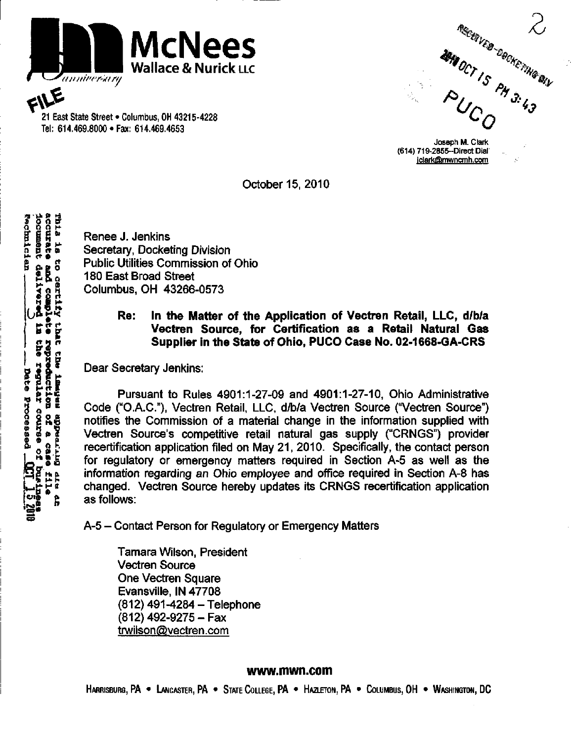

Tel: 614.469.8000•Fax: 614.469.4653

21 East State Street • Columbus, OH 43215-4228 ' O Columbus, OH 43215-4228 ' O Columbus, OH 43215-4228 ' O Columbus and Device of All AGS. All AGS. All AGS. All AGS. All AGS. All AGS. All AGS. All AGS. All AGS. All AGS. A

Joseph M. Clark (614) 719-2855-Direct Dial iclark@mwncmh.com

October 15. 2010

**and British Secretary, Docket**<br> **Example 3**<br> **Example 3**<br> **Example 3**<br> **Example 3**<br> **Example 3**<br> **Example 3**<br> **Example 3**<br> **Example 3**<br> **Example 3**<br> **Example 3**<br> **Example 3** Secretary, Docketing Division 6 0. g o Public Utilities Commission of Ohio  $\frac{5}{14}$  180 East Broad Street<br>Columbus, OH 43266-<br> $\frac{1}{14}$ <br>Re: In the M  $\frac{8}{9}$  Columbus, OH 43266-0573

## $\frac{R}{r}$  Re: In the Matter of the Application of Vectren Retail, LLC, d/b/a<br>Vectren Source, for Certification as a Retail Natural Gas<br>Supplier in the State of Ohio. PUCO Case No. 02-1668-GA-CRS Vectren Source, for Certification as a Retail Natural Gas Supplier in the State of Ohio, PUCO Case No. 02-1668-GA-CRS

Dear Secretary Jenkins:

Pursuant to Rules 4901:1-27-09 and 4901:1-27-10, Ohio Administrative G <sup>B E</sup> Code ("O.A.C."), Vectren Retail, LLC, d/b/a Vectren Source ("Vectren Source")<br>
g R E notifies the Commission of a material change in the information supplied with<br>
g B E Vectren Source's competitive retail natural notifies the Commission of a material change in the information supplied with<br>Vectren Source's competitive retail natural gas supply ("CRNGS") provider<br>recertification application filed on May 21, 2010. Specifically, the c Vectren Source's competitive retail natural gas supply ("CRNGS") provider  $5.9\frac{5}{8}$  recertification application filed on May 21, 2010. Specifically, the contact person<br>"\$5 for regulatory or emergency matters required in Section A-5 as well as the for regulatory or emergency matters required in Section A-5 as well as the information regarding an Ohio employee and office required in Section A-8 has changed. Vectren Source hereby updates its CRNGS recertification application % as follows:

A-5 - Contact Person for Regulatory or Emergency Matters

Tamara Wilson, President Vectren Source One Vectren Square Evansville, IN 47708 (812) 491-4284 - Telephone (812) 492-9275-Fax trwilson@vectren.com

## [www.mwn.com](http://www.mwn.com)

HARRISBURG, PA • LANCASTER, PA • STATE COLLEGE, PA • HAZLETON, PA • COLUMBUS, OH • WASHINGTON, DC